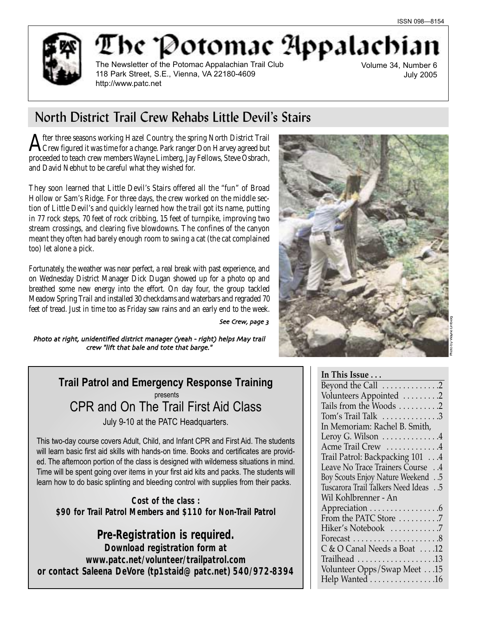

The Potomae Appalachi The Newsletter of the Potomac Appalachian Trail Club

118 Park Street, S.E., Vienna, VA 22180-4609 http://www.patc.net

Volume 34, Number 6 July 2005

# North District Trail Crew Rehabs Little Devil's Stairs

After three seasons working Hazel Country, the spring North District Trail<br>Crew figured it was time for a change. Park ranger Don Harvey agreed but proceeded to teach crew members Wayne Limberg, Jay Fellows, Steve Osbrach, and David Nebhut to be careful what they wished for.

They soon learned that Little Devil's Stairs offered all the "fun" of Broad Hollow or Sam's Ridge. For three days, the crew worked on the middle section of Little Devil's and quickly learned how the trail got its name, putting in 77 rock steps, 70 feet of rock cribbing, 15 feet of turnpike, improving two stream crossings, and clearing five blowdowns. The confines of the canyon meant they often had barely enough room to swing a cat (the cat complained too) let alone a pick.

Fortunately, the weather was near perfect, a real break with past experience, and on Wednesday District Manager Dick Dugan showed up for a photo op and breathed some new energy into the effort. On day four, the group tackled Meadow Spring Trail and installed 30 checkdams and waterbars and regraded 70 feet of tread. Just in time too as Friday saw rains and an early end to the week.

See Crew, page 3

Photo at right, unidentified district manager (yeah - right) helps May trail crew "lift that bale and tote that barge."

> **Trail Patrol and Emergency Response Training** presents CPR and On The Trail First Aid Class July 9-10 at the PATC Headquarters.

This two-day course covers Adult, Child, and Infant CPR and First Aid. The students will learn basic first aid skills with hands-on time. Books and certificates are provided. The afternoon portion of the class is designed with wilderness situations in mind. Time will be spent going over items in your first aid kits and packs. The students will learn how to do basic splinting and bleeding control with supplies from their packs.

**Cost of the class : \$90 for Trail Patrol Members and \$110 for Non-Trail Patrol**

**Pre-Registration is required. Download registration form at www.patc.net/volunteer/trailpatrol.com or contact Saleena DeVore (tp1staid@patc.net) 540/972-8394**



# **In This Issue . . .**

| Beyond the Call 2                        |
|------------------------------------------|
| Volunteers Appointed 2                   |
| Tails from the Woods 2                   |
| Tom's Trail Talk 3                       |
| In Memoriam: Rachel B. Smith,            |
| Leroy G. Wilson 4                        |
| Acme Trail Crew 4                        |
| Trail Patrol: Backpacking 101 4          |
| Leave No Trace Trainers Course 4         |
| <b>Boy Scouts Enjoy Nature Weekend</b> 5 |
| Tuscarora Trail Talkers Need Ideas 5     |
| Wil Kohlbrenner - An                     |
| Appreciation 6                           |
| From the PATC Store 7                    |
| Hiker's Notebook 7                       |
|                                          |
| C & O Canal Needs a Boat  .12            |
|                                          |
| Volunteer Opps/Swap Meet 15              |
| Help Wanted 16                           |
|                                          |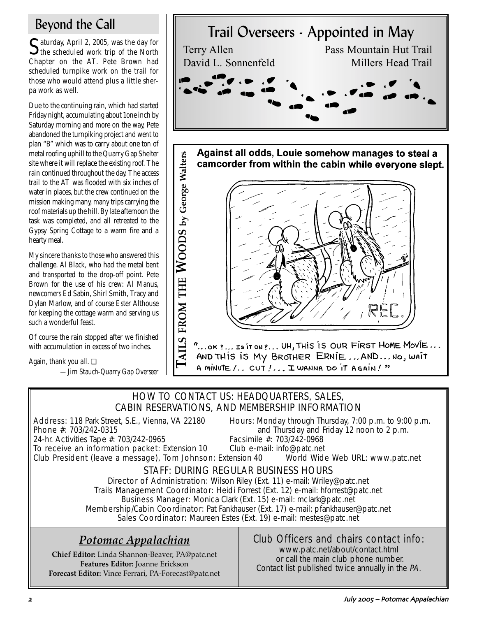Saturday, April 2, 2005, was the day for the scheduled work trip of the North Chapter on the AT. Pete Brown had scheduled turnpike work on the trail for those who would attend plus a little sherpa work as well.

Due to the continuing rain, which had started Friday night, accumulating about 1one inch by Saturday morning and more on the way, Pete abandoned the turnpiking project and went to plan "B" which was to carry about one ton of metal roofing uphill to the Quarry Gap Shelter site where it will replace the existing roof. The rain continued throughout the day. The access trail to the AT was flooded with six inches of water in places, but the crew continued on the mission making many, many trips carrying the roof materials up the hill. By late afternoon the task was completed, and all retreated to the Gypsy Spring Cottage to a warm fire and a hearty meal.

My sincere thanks to those who answered this challenge. Al Black, who had the metal bent and transported to the drop-off point. Pete Brown for the use of his crew: Al Manus, newcomers Ed Sabin, Shirl Smith, Tracy and Dylan Marlow, and of course Ester Althouse for keeping the cottage warm and serving us such a wonderful feast.

Of course the rain stopped after we finished with accumulation in excess of two inches.

Again, thank you all. ❏

*—Jim Stauch-Quarry Gap Overseer*



# HOW TO CONTACT US: HEADQUARTERS, SALES, CABIN RESERVATIONS, AND MEMBERSHIP INFORMATION

24-hr. Activities Tape #: 703/242-0965

Address: 118 Park Street, S.E., Vienna, VA 22180 Hours: Monday through Thursday, 7:00 p.m. to 9:00 p.m.<br>Phone #: 703/242-0315 **Phone** #: 703/242-0315 and Thursday and Friday 12 noon to 2 p.m.<br>Facsimile #: 703/242-0968

A MINUTE !.. CUT !... I WANNA DO IT AGAIN ! "

To receive an information packet: Extension 10 Club e-mail: info@patc.net Club President (leave a message), Tom Johnson: Extension 40 World Wide Web URL: www.patc.net

# STAFF: DURING REGULAR BUSINESS HOURS

Director of Administration: Wilson Riley (Ext. 11) e-mail: Wriley@patc.net Trails Management Coordinator: Heidi Forrest (Ext. 12) e-mail: hforrest@patc.net Business Manager: Monica Clark (Ext. 15) e-mail: mclark@patc.net Membership/Cabin Coordinator: Pat Fankhauser (Ext. 17) e-mail: pfankhauser@patc.net Sales Coordinator: Maureen Estes (Ext. 19) e-mail: mestes@patc.net

# *Potomac Appalachian*

**Chief Editor:** Linda Shannon-Beaver, PA@patc.net **Features Editor:** Joanne Erickson **Forecast Editor:** Vince Ferrari, PA-Forecast@patc.net

# Club Officers and chairs contact info:

www.patc.net/about/contact.html or call the main club phone number. Contact list published twice annually in the PA.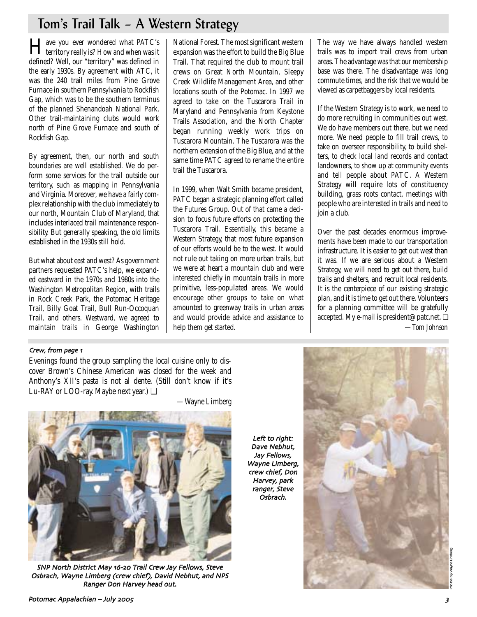# Tom's Trail Talk – A Western Strategy

Have you ever wondered what PATC's territory really is? How and when was it defined? Well, our "territory" was defined in the early 1930s. By agreement with ATC, it was the 240 trail miles from Pine Grove Furnace in southern Pennsylvania to Rockfish Gap, which was to be the southern terminus of the planned Shenandoah National Park. Other trail-maintaining clubs would work north of Pine Grove Furnace and south of Rockfish Gap.

By agreement, then, our north and south boundaries are well established. We do perform some services for the trail outside our territory, such as mapping in Pennsylvania and Virginia. Moreover, we have a fairly complex relationship with the club immediately to our north, Mountain Club of Maryland, that includes interlaced trail maintenance responsibility. But generally speaking, the old limits established in the 1930s still hold.

But what about east and west? As government partners requested PATC's help, we expanded eastward in the 1970s and 1980s into the Washington Metropolitan Region, with trails in Rock Creek Park, the Potomac Heritage Trail, Billy Goat Trail, Bull Run-Occoquan Trail, and others. Westward, we agreed to maintain trails in George Washington National Forest. The most significant western expansion was the effort to build the Big Blue Trail. That required the club to mount trail crews on Great North Mountain, Sleepy Creek Wildlife Management Area, and other locations south of the Potomac. In 1997 we agreed to take on the Tuscarora Trail in Maryland and Pennsylvania from Keystone Trails Association, and the North Chapter began running weekly work trips on Tuscarora Mountain. The Tuscarora was the northern extension of the Big Blue, and at the same time PATC agreed to rename the entire trail the Tuscarora.

In 1999, when Walt Smith became president, PATC began a strategic planning effort called the Futures Group. Out of that came a decision to focus future efforts on protecting the Tuscarora Trail. Essentially, this became a Western Strategy, that most future expansion of our efforts would be to the west. It would not rule out taking on more urban trails, but we were at heart a mountain club and were interested chiefly in mountain trails in more primitive, less-populated areas. We would encourage other groups to take on what amounted to greenway trails in urban areas and would provide advice and assistance to help them get started.

The way we have always handled western trails was to import trail crews from urban areas. The advantage was that our membership base was there. The disadvantage was long commute times, and the risk that we would be viewed as carpetbaggers by local residents.

If the Western Strategy is to work, we need to do more recruiting in communities out west. We do have members out there, but we need more. We need people to fill trail crews, to take on overseer responsibility, to build shelters, to check local land records and contact landowners, to show up at community events and tell people about PATC. A Western Strategy will require lots of constituency building, grass roots contact, meetings with people who are interested in trails and need to join a club.

Over the past decades enormous improvements have been made to our transportation infrastructure. It is easier to get out west than it was. If we are serious about a Western Strategy, we will need to get out there, build trails and shelters, and recruit local residents. It is the centerpiece of our existing strategic plan, and it is time to get out there. Volunteers for a planning committee will be gratefully accepted. My e-mail is president@patc.net. ❏ —*Tom Johnson*

### Crew, from page 1

Evenings found the group sampling the local cuisine only to discover Brown's Chinese American was closed for the week and Anthony's XII's pasta is not al dente. (Still don't know if it's Lu-RAY or LOO-ray. Maybe next year.) ❏



SNP North District May 16-20 Trail Crew Jay Fellows, Steve Osbrach, Wayne Limberg (crew chief), David Nebhut, and NPS Ranger Don Harvey head out

*—Wayne Limberg*

Left to right: Dave Nebhut Jay Fellows Wayne Limberg crew chief, Don Harvey, park ranger, Steve Osbrach

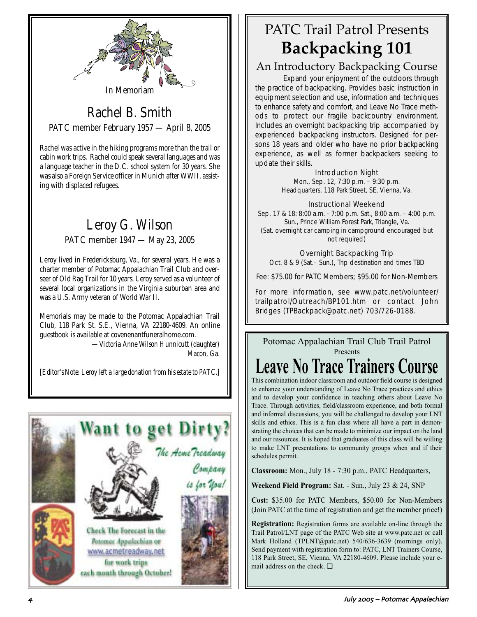

# Rachel B. Smith PATC member February 1957 — April 8, 2005

Rachel was active in the hiking programs more than the trail or cabin work trips. Rachel could speak several languages and was a language teacher in the D.C. school system for 30 years. She was also a Foreign Service officer in Munich after WWII, assisting with displaced refugees.

# Leroy G. Wilson PATC member 1947 — May 23, 2005

Leroy lived in Fredericksburg, Va., for several years. He was a charter member of Potomac Appalachian Trail Club and overseer of Old Rag Trail for 10 years. Leroy served as a volunteer of several local organizations in the Virginia suburban area and was a U.S. Army veteran of World War II.

Memorials may be made to the Potomac Appalachian Trail Club, 118 Park St. S.E., Vienna, VA 22180-4609. An online guestbook is available at covenenantfuneralhome.com.

*—Victoria Anne Wilson Hunnicutt (daughter) Macon, Ga.*

*[Editor's Note: Leroy left a large donation from his estate to PATC.]*



# PATC Trail Patrol Presents **Backpacking 101**

# An Introductory Backpacking Course

Expand your enjoyment of the outdoors through the practice of backpacking. Provides basic instruction in equipment selection and use, information and techniques to enhance safety and comfort, and Leave No Trace methods to protect our fragile backcountry environment. Includes an overnight backpacking trip accompanied by experienced backpacking instructors. Designed for persons 18 years and older who have no prior backpacking experience, as well as former backpackers seeking to update their skills.

### Introduction Night

Mon., Sep. 12, 7:30 p.m. – 9:30 p.m. Headquarters, 118 Park Street, SE, Vienna, Va.

### Instructional Weekend

Sep. 17 & 18: 8:00 a.m. - 7:00 p.m. Sat., 8:00 a.m. – 4:00 p.m. Sun., Prince William Forest Park, Triangle, Va. (Sat. overnight car camping in campground encouraged but not required)

### Overnight Backpacking Trip

Oct. 8 & 9 (Sat.– Sun.), Trip destination and times TBD

Fee: \$75.00 for PATC Members; \$95.00 for Non-Members

For more information, see www.patc.net/volunteer/ trailpatrol/Outreach/BP101.htm or contact John Bridges (TPBackpack@patc.net) 703/726-0188.

Potomac Appalachian Trail Club Trail Patrol Presents

# **Leave No Trace Trainers Course**

This combination indoor classroom and outdoor field course is designed to enhance your understanding of Leave No Trace practices and ethics and to develop your confidence in teaching others about Leave No Trace. Through activities, field/classroom experience, and both formal and informal discussions, you will be challenged to develop your LNT skills and ethics. This is a fun class where all have a part in demonstrating the choices that can be made to minimize our impact on the land and our resources. It is hoped that graduates of this class will be willing to make LNT presentations to community groups when and if their schedules permit.

**Classroom:** Mon., July 18 - 7:30 p.m., PATC Headquarters,

**Weekend Field Program:** Sat. - Sun., July 23 & 24, SNP

**Cost:** \$35.00 for PATC Members, \$50.00 for Non-Members (Join PATC at the time of registration and get the member price!)

**Registration:** Registration forms are available on-line through the Trail Patrol/LNT page of the PATC Web site at www.patc.net or call Mark Holland (TPLNT@patc.net) 540/636-3639 (mornings only). Send payment with registration form to: PATC, LNT Trainers Course, 118 Park Street, SE, Vienna, VA 22180-4609. Please include your email address on the check. ❏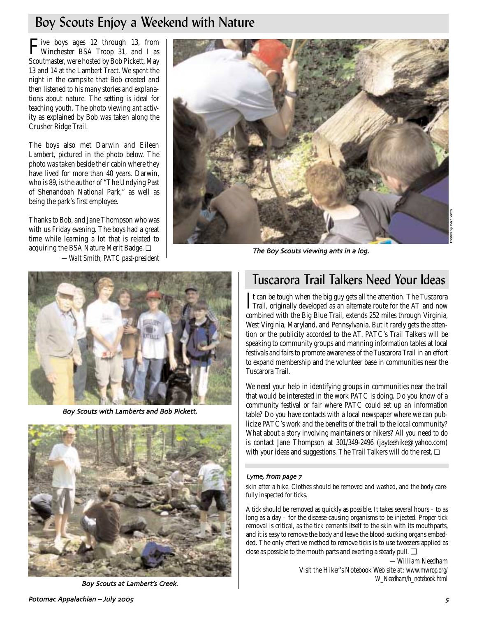# Boy Scouts Enjoy a Weekend with Nature

Five boys ages 12 through 13, from Winchester BSA Troop 31, and I as Scoutmaster, were hosted by Bob Pickett, May 13 and 14 at the Lambert Tract. We spent the night in the campsite that Bob created and then listened to his many stories and explanations about nature. The setting is ideal for teaching youth. The photo viewing ant activity as explained by Bob was taken along the Crusher Ridge Trail.

The boys also met Darwin and Eileen Lambert, pictured in the photo below. The photo was taken beside their cabin where they have lived for more than 40 years. Darwin, who is 89, is the author of "The Undying Past of Shenandoah National Park," as well as being the park's first employee.

Thanks to Bob, and Jane Thompson who was with us Friday evening. The boys had a great time while learning a lot that is related to acquiring the BSA Nature Merit Badge. ❏ *—Walt Smith, PATC past-president*



The Boy Scouts viewing ants in a log



Boy Scouts with Lamberts and Bob Pickett



Boy Scouts at Lambert's Creek

# Tuscarora Trail Talkers Need Your Ideas

It can be tough when the big guy gets all the attention. The Tuscarora<br>Trail, originally developed as an alternate route for the AT and now It can be tough when the big guy gets all the attention. The Tuscarora combined with the Big Blue Trail, extends 252 miles through Virginia, West Virginia, Maryland, and Pennsylvania. But it rarely gets the attention or the publicity accorded to the AT. PATC's Trail Talkers will be speaking to community groups and manning information tables at local festivals and fairs to promote awareness of the Tuscarora Trail in an effort to expand membership and the volunteer base in communities near the Tuscarora Trail.

We need your help in identifying groups in communities near the trail that would be interested in the work PATC is doing. Do you know of a community festival or fair where PATC could set up an information table? Do you have contacts with a local newspaper where we can publicize PATC's work and the benefits of the trail to the local community? What about a story involving maintainers or hikers? All you need to do is contact Jane Thompson at 301/349-2496 (jayteehike@yahoo.com) with your ideas and suggestions. The Trail Talkers will do the rest.  $\Box$ 

#### Lyme, from page 7

skin after a hike. Clothes should be removed and washed, and the body carefully inspected for ticks.

A tick should be removed as quickly as possible. It takes several hours – to as long as a day – for the disease-causing organisms to be injected. Proper tick removal is critical, as the tick cements itself to the skin with its mouthparts, and it is easy to remove the body and leave the blood-sucking organs embedded. The only effective method to remove ticks is to use tweezers applied as close as possible to the mouth parts and exerting a steady pull. ❏

> *—William Needham Visit the Hiker's Notebook Web site at: www.mwrop.org/ W\_Needham/h\_notebook.html*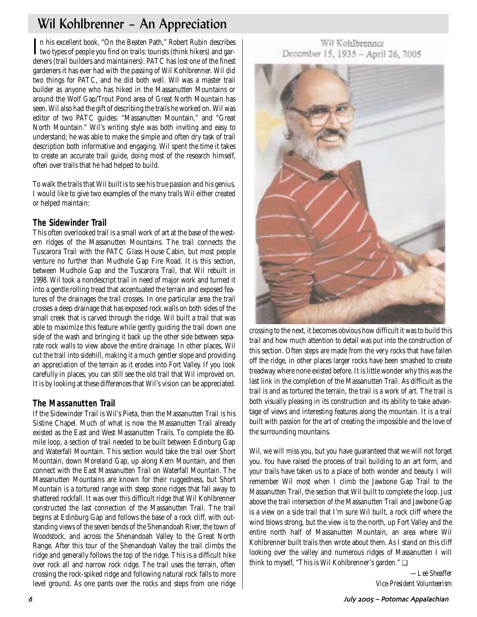# Wil Kohlbrenner – An Appreciation

In his excellent book, "On the Beaten Path," Robert Rubin describes<br>two types of people you find on trails: tourists (think hikers) and garn his excellent book, "On the Beaten Path," Robert Rubin describes deners (trail builders and maintainers). PATC has lost one of the finest gardeners it has ever had with the passing of Wil Kohlbrenner. Wil did two things for PATC, and he did both well. Wil was a master trail builder as anyone who has hiked in the Massanutten Mountains or around the Wolf Gap/Trout Pond area of Great North Mountain has seen. Wil also had the gift of describing the trails he worked on. Wil was editor of two PATC guides: "Massanutten Mountain," and "Great North Mountain." Wil's writing style was both inviting and easy to understand; he was able to make the simple and often dry task of trail description both informative and engaging. Wil spent the time it takes to create an accurate trail guide, doing most of the research himself, often over trails that he had helped to build.

To walk the trails that Wil built is to see his true passion and his genius. I would like to give two examples of the many trails Wil either created or helped maintain:

### **The Sidewinder Trail**

This often overlooked trail is a small work of art at the base of the western ridges of the Massanutten Mountains. The trail connects the Tuscarora Trail with the PATC Glass House Cabin, but most people venture no further than Mudhole Gap Fire Road. It is this section, between Mudhole Gap and the Tuscarora Trail, that Wil rebuilt in 1998. Wil took a nondescript trail in need of major work and turned it into a gentle rolling tread that accentuated the terrain and exposed features of the drainages the trail crosses. In one particular area the trail crosses a deep drainage that has exposed rock walls on both sides of the small creek that is carved through the ridge. Wil built a trail that was able to maximize this feature while gently guiding the trail down one side of the wash and bringing it back up the other side between separate rock walls to view above the entire drainage. In other places, Wil cut the trail into sidehill, making it a much gentler slope and providing an appreciation of the terrain as it erodes into Fort Valley. If you look carefully in places, you can still see the old trail that Wil improved on. It is by looking at these differences that Wil's vision can be appreciated.

# **The Massanutten Trail**

If the Sidewinder Trail is Wil's Pieta, then the Massanutten Trail is his Sistine Chapel. Much of what is now the Massanutten Trail already existed as the East and West Massanutten Trails. To complete the 80 mile loop, a section of trail needed to be built between Edinburg Gap and Waterfall Mountain. This section would take the trail over Short Mountain, down Moreland Gap, up along Kern Mountain, and then connect with the East Massanutten Trail on Waterfall Mountain. The Massanutten Mountains are known for their ruggedness, but Short Mountain is a tortured range with steep stone ridges that fall away to shattered rockfall. It was over this difficult ridge that Wil Kohlbrenner constructed the last connection of the Massanutten Trail. The trail begins at Edinburg Gap and follows the base of a rock cliff, with outstanding views of the seven bends of the Shenandoah River, the town of Woodstock, and across the Shenandoah Valley to the Great North Range. After this tour of the Shenandoah Valley the trail climbs the ridge and generally follows the top of the ridge. This is a difficult hike over rock all and narrow rock ridge. The trail uses the terrain, often crossing the rock-spiked ridge and following natural rock falls to more level ground. As one pants over the rocks and steps from one ridge

### Wil Kohlbrenner December 15, 1935 - April 26, 2005



crossing to the next, it becomes obvious how difficult it was to build this trail and how much attention to detail was put into the construction of this section. Often steps are made from the very rocks that have fallen off the ridge, in other places larger rocks have been smashed to create treadway where none existed before. It is little wonder why this was the last link in the completion of the Massanutten Trail. As difficult as the trail is and as tortured the terrain, the trail is a work of art. The trail is both visually pleasing in its construction and its ability to take advantage of views and interesting features along the mountain. It is a trail built with passion for the art of creating the impossible and the love of the surrounding mountains.

Wil, we will miss you, but you have guaranteed that we will not forget you. You have raised the process of trail building to an art form, and your trails have taken us to a place of both wonder and beauty. I will remember Wil most when I climb the Jawbone Gap Trail to the Massanutten Trail, the section that Wil built to complete the loop. Just above the trail intersection of the Massanutten Trail and Jawbone Gap is a view on a side trail that I'm sure Wil built, a rock cliff where the wind blows strong, but the view is to the north, up Fort Valley and the entire north half of Massanutten Mountain, an area where Wil Kohlbrenner built trails then wrote about them. As I stand on this cliff looking over the valley and numerous ridges of Massanutten I will think to myself, "This is Wil Kohlbrenner's garden." ❏

> *—Lee Sheaffer Vice-President Volunteerism*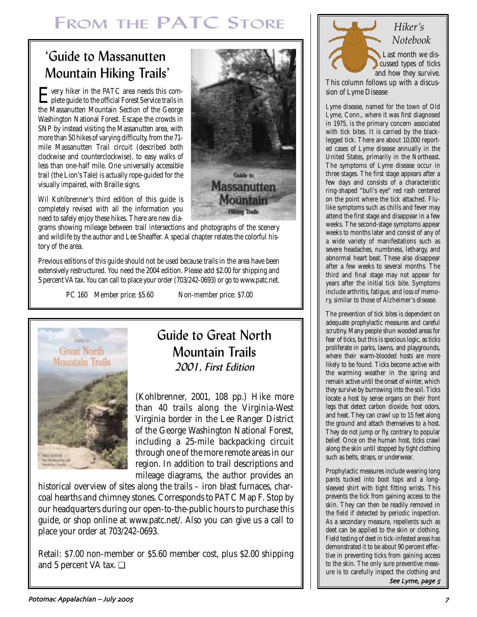# FROM THE PATC STORE

# 'Guide to Massanutten Mountain Hiking Trails'

Every hiker in the PATC area needs this com-plete guide to the official Forest Service trails in the Massanutten Mountain Section of the George Washington National Forest. Escape the crowds in SNP by instead visiting the Massanutten area, with more than 50 hikes of varying difficulty, from the 71 mile Massanutten Trail circuit (described both clockwise and counterclockwise), to easy walks of less than one-half mile. One universally accessible trail (the Lion's Tale) is actually rope-guided for the visually impaired, with Braille signs.



Wil Kohlbrenner's third edition of this guide is completely revised with all the information you need to safely enjoy these hikes. There are new dia-

grams showing mileage between trail intersections and photographs of the scenery and wildlife by the author and Lee Sheaffer. A special chapter relates the colorful history of the area.

Previous editions of this guide should not be used because trails in the area have been extensively restructured. You need the 2004 edition. Please add \$2.00 for shipping and 5 percent VA tax. You can call to place your order (703/242-0693) or go to www.patc.net.

PC 160 Member price: \$5.60 Non-member price: \$7.00



# Guide to Great North Mountain Trails 2001, First Edition

(Kohlbrenner, 2001, 108 pp.) Hike more than 40 trails along the Virginia-West Virginia border in the Lee Ranger District of the George Washington National Forest, including a 25-mile backpacking circuit through one of the more remote areas in our region. In addition to trail descriptions and mileage diagrams, the author provides an

historical overview of sites along the trails – iron blast furnaces, charcoal hearths and chimney stones. Corresponds to PATC Map F. Stop by our headquarters during our open-to-the-public hours to purchase this guide, or shop online at www.patc.net/. Also you can give us a call to place your order at 703/242-0693.

Retail: \$7.00 non-member or \$5.60 member cost, plus \$2.00 shipping and 5 percent VA tax. ❏



# *Hiker's Notebook*

Last month we discussed types of ticks and how they survive.

This column follows up with a discussion of Lyme Disease

Lyme disease, named for the town of Old Lyme, Conn., where it was first diagnosed in 1975, is the primary concern associated with tick bites. It is carried by the blacklegged tick. There are about 10,000 reported cases of Lyme disease annually in the United States, primarily in the Northeast. The symptoms of Lyme disease occur in three stages. The first stage appears after a few days and consists of a characteristic ring-shaped "bull's eye" red rash centered on the point where the tick attached. Flulike symptoms such as chills and fever may attend the first stage and disappear in a few weeks. The second-stage symptoms appear weeks to months later and consist of any of a wide variety of manifestations such as severe headaches, numbness, lethargy, and abnormal heart beat. These also disappear after a few weeks to several months. The third and final stage may not appear for years after the initial tick bite. Symptoms include arthritis, fatigue, and loss of memory, similar to those of Alzheimer's disease.

The prevention of tick bites is dependent on adequate prophylactic measures and careful scrutiny. Many people shun wooded areas for fear of ticks, but this is specious logic, as ticks proliferate in parks, lawns, and playgrounds, where their warm-blooded hosts are more likely to be found. Ticks become active with the warming weather in the spring and remain active until the onset of winter, which they survive by burrowing into the soil. Ticks locate a host by sense organs on their front legs that detect carbon dioxide, host odors, and heat. They can crawl up to 15 feet along the ground and attach themselves to a host. They do not jump or fly, contrary to popular belief. Once on the human host, ticks crawl along the skin until stopped by tight clothing such as belts, straps, or underwear.

Prophylactic measures include wearing long pants tucked into boot tops and a longsleeved shirt with tight fitting wrists. This prevents the tick from gaining access to the skin. They can then be readily removed in the field if detected by periodic inspection. As a secondary measure, repellents such as deet can be applied to the skin or clothing. Field testing of deet in tick-infested areas has demonstrated it to be about 90 percent effective in preventing ticks from gaining access to the skin. The only sure preventive measure is to carefully inspect the clothing and See Lyme, page 5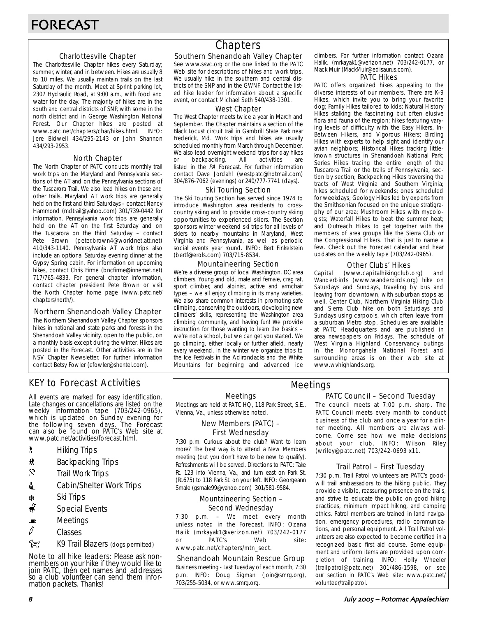### Charlottesville Chapter

The Charlottesville Chapter hikes every Saturday; summer, winter, and in between. Hikes are usually 8 to 10 miles. We usually maintain trails on the last Saturday of the month. Meet at Sprint parking lot, 2307 Hydraulic Road, at 9:00 a.m., with food and water for the day. The majority of hikes are in the south and central districts of SNP, with some in the north district and in George Washington National Forest. Our Chapter hikes are posted at www.patc.net/chapters/char/hikes.html. INFO: Jere Bidwell 434/295-2143 or John Shannon 434/293-2953.

### North Chapter

The North Chapter of PATC conducts monthly trail work trips on the Maryland and Pennsylvania sections of the AT and on the Pennsylvania sections of the Tuscarora Trail. We also lead hikes on these and other trails. Maryland AT work trips are generally held on the first and third Saturdays – contact Nancy Hammond (mdtrail@yahoo.com) 301/739-0442 for information. Pennsylvania work trips are generally held on the AT on the first Saturday and on the Tuscarora on the third Saturday – contact Pete Brown (peter.brown4@worldnet.att.net) 410/343-1140. Pennsylvania AT work trips also include an optional Saturday evening dinner at the Gypsy Spring cabin. For information on upcoming hikes, contact Chris Firme (bncfirme@innernet.net) 717/765-4833. For general chapter information, contact chapter president Pete Brown or visit the North Chapter home page (www.patc.net/ chapters/north/).

#### Northern Shenandoah Valley Chapter

The Northern Shenandoah Valley Chapter sponsors hikes in national and state parks and forests in the Shenandoah Valley vicinity, open to the public, on a monthly basis except during the winter. Hikes are posted in the Forecast. Other activities are in the NSV Chapter Newsletter. For further information contact Betsy Fowler (efowler@shentel.com).

# KEY to Forecast Activities

All events are marked for easy identification. Late changes or cancellations are listed on the weekly information tape (703/242-0965), which is updated on Sunday evening for the following seven days. The Forecast can also be found on PATC's Web site at www.patc.net/activities/forecast.html.

- **\*** Hiking Trips
- \* Backpacking Trips
- $\mathcal{R}$  Trail Work Trips
- **i** Cabin/Shelter Work Trips
- **A** Ski Trips
- Special Events
- $\blacksquare$  Meetings
- $\varnothing$  Classes
- **EX** K9 Trail Blazers (dogs permitted)

Note to all hike leaders: Please ask nonmembers on your hike if they would like to join PATC, then get names and addresses so a club volunteer can send them information packets. Thanks!

# **Chapters**

### Southern Shenandoah Valley Chapter

See www.ssvc.org or the one linked to the PATC Web site for descriptions of hikes and work trips. We usually hike in the southern and central districts of the SNP and in the GWNF. Contact the listed hike leader for information about a specific event, or contact Michael Seth 540/438-1301.

#### West Chapter

The West Chapter meets twice a year in March and September. The Chapter maintains a section of the Black Locust circuit trail in Gambrill State Park near Frederick, Md. Work trips and hikes are usually scheduled monthly from March through December. We also lead overnight weekend trips for day hikes or backpacking. All activities are listed in the PA Forecast. For further information contact Dave Jordahl (westpatc@hotmail.com) 304/876-7062 (evenings) or 240/777-7741 (days).

#### Ski Touring Section

The Ski Touring Section has served since 1974 to introduce Washington area residents to crosscountry skiing and to provide cross-country skiing opportunities to experienced skiers. The Section sponsors winter weekend ski trips for all levels of skiers to nearby mountains in Maryland, West Virginia and Pennsylvania, as well as periodic social events year round. INFO: Bert Finkelstein (bertf@erols.com) 703/715-8534.

### Mountaineering Section

We're a diverse group of local Washington, DC area climbers. Young and old, male and female, crag rat, sport climber, and alpinist, active and armchair types – we all enjoy climbing in its many varieties. We also share common interests in promoting safe climbing, conserving the outdoors, developing new climbers' skills, representing the Washington area climbing community, and having fun! We provide instruction for those wanting to learn the basics – we're not a school, but we can get you started. We go climbing, either locally or further afield, nearly every weekend. In the winter we organize trips to the Ice Festivals in the Adirondacks and the White Mountains for beginning and advanced ice climbers. For further information contact Ozana Halik, (mrkayak1@verizon.net) 703/242-0177, or Mack Muir (MackMuir@edisaurus.com).

#### PATC Hikes

PATC offers organized hikes appealing to the diverse interests of our members. There are K-9 Hikes, which invite you to bring your favorite dog; Family Hikes tailored to kids; Natural History Hikes stalking the fascinating but often elusive flora and fauna of the region; hikes featuring varying levels of difficulty with the Easy Hikers, In-Between Hikers, and Vigorous Hikers; Birding Hikes with experts to help sight and identify our avian neighbors; Historical Hikes tracking littleknown structures in Shenandoah National Park; Series Hikes tracing the entire length of the Tuscarora Trail or the trails of Pennsylvania, section by section; Backpacking Hikes traversing the tracts of West Virginia and Southern Virginia; hikes scheduled for weekends; ones scheduled for weekdays; Geology Hikes led by experts from the Smithsonian focused on the unique stratigraphy of our area; Mushroom Hikes with mycologists; Waterfall Hikes to beat the summer heat; and Outreach Hikes to get together with the members of area groups like the Sierra Club or the Congressional Hikers. That is just to name a few. Check out the Forecast calendar and hear updates on the weekly tape (703/242-0965).

### Other Clubs' Hikes

Capital (www.capitalhikingclub.org) and Wanderbirds (www.wanderbirds.org) hike on Saturdays and Sundays, traveling by bus and leaving from downtown, with suburban stops as well. Center Club, Northern Virginia Hiking Club and Sierra Club hike on both Saturdays and Sundays using carpools, which often leave from a suburban Metro stop. Schedules are available at PATC Headquarters and are published in area newspapers on Fridays. The schedule of West Virginia Highland Conservancy outings in the Monongahela National Forest and surrounding areas is on their web site at www.wvhighlands.org.

#### Meetings

Meetings are held at PATC HQ, 118 Park Street, S.E., Vienna, Va., unless otherwise noted.

### New Members (PATC) – First Wednesday

7:30 p.m. Curious about the club? Want to learn more? The best way is to attend a New Members meeting (but you don't have to be new to qualify). Refreshments will be served. Directions to PATC: Take Rt. 123 into Vienna, Va., and turn east on Park St. (Rt.675) to 118 Park St. on your left. INFO: Georgeann Smale (gsmale99@yahoo.com) 301/581-9584.

#### Mountaineering Section – Second Wednesday

7:30 p.m. – We meet every month unless noted in the Forecast. INFO: Ozana Halik (mrkayak1@verizon.net) 703/242-0177 or PATC's Web site: www.patc.net/chapters/mtn\_sect.

### Shenandoah Mountain Rescue Group

Business meeting - Last Tuesday of each month, 7:30 p.m. INFO: Doug Sigman (join@smrg.org), 703/255-5034, or www.smrg.org.

### PATC Council – Second Tuesday Meetings

The council meets at 7:00 p.m. sharp. The PATC Council meets every month to conduct business of the club and once a year for a dinner meeting. All members are always welcome. Come see how we make decisions about your club. INFO: Wilson Riley (wriley@patc.net) 703/242-0693 x11.

### Trail Patrol – First Tuesday

7:30 p.m. Trail Patrol volunteers are PATC's goodwill trail ambassadors to the hiking public. They provide a visible, reassuring presence on the trails, and strive to educate the public on good hiking practices, minimum impact hiking, and camping ethics. Patrol members are trained in land navigation, emergency procedures, radio communications, and personal equipment. All Trail Patrol volunteers are also expected to become certified in a recognized basic first aid course. Some equipment and uniform items are provided upon completion of training. INFO: Holly Wheeler (trailpatrol@patc.net) 301/486-1598, or see our section in PATC's Web site: www.patc.net/ volunteer/trailpatrol.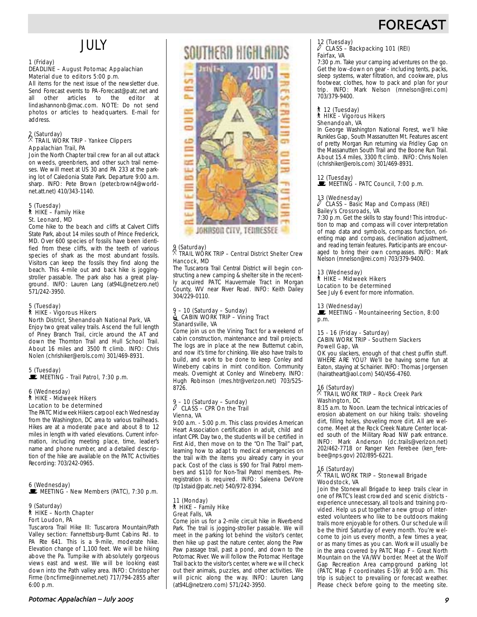# **FORECAS**

# JULY

### 1 (Friday)

#### DEADLINE – August Potomac Appalachian Material due to editors 5:00 p.m.

All items for the next issue of the newsletter due. Send Forecast events to PA-Forecast@patc.net and all other articles to the editor at lindashannonb@mac.com. NOTE: Do not send photos or articles to headquarters. E-mail for address.

### 2 (Saturday) . TRAIL WORK TRIP - Yankee Clippers Appalachian Trail, PA

Join the North Chapter trail crew for an all out attack on weeds, greenbriers, and other such trail nemeses. We will meet at US 30 and PA 233 at the parking lot of Caledonia State Park. Departure 9:00 a.m. sharp. INFO: Pete Brown (peter.brown4@worldnet.att.net) 410/343-1140.

# 5 (Tuesday) ` HIKE – Family Hike St. Leonard, MD

Come hike to the beach and cliffs at Calvert Cliffs State Park, about 14 miles south of Prince Frederick, MD. Over 600 species of fossils have been identified from these cliffs, with the teeth of various species of shark as the most abundant fossils. Visitors can keep the fossils they find along the beach. This 4-mile out and back hike is joggingstroller passable. The park also has a great playground. INFO: Lauren Lang (at94L@netzero.net) 571/242-3950.

## 5 (Tuesday) ` HIKE - Vigorous Hikers North District, Shenandoah National Park, VA

Enjoy two great valley trails. Ascend the full length of Piney Branch Trail, circle around the AT and down the Thornton Trail and Hull School Trail. About 16 miles and 3500 ft climb. INFO: Chris Nolen (chrishiker@erols.com) 301/469-8931.

# 5 (Tuesday)<br>■ MEETING - Trail Patrol, 7:30 p.m.

#### 6 (Wednesday) ` HIKE - Midweek Hikers Location to be determined

The PATC Midweek Hikers carpool each Wednesday from the Washington, DC area to various trailheads. Hikes are at a moderate pace and about 8 to 12 miles in length with varied elevations. Current information, including meeting place, time, leader's name and phone number, and a detailed description of the hike are available on the PATC Activities Recording: 703/242-0965.

#### 6 (Wednesday)  $\mathbf{E}$  MEETING - New Members (PATC), 7:30 p.m.

### 9 (Saturday) ` HIKE – North Chapter Fort Loudon, PA

Tuscarora Trail Hike III: Tuscarora Mountain/Path Valley section: Fannettsburg-Burnt Cabins Rd. to PA Rte 641. This is a 9-mile, moderate hike. Elevation change of 1,100 feet. We will be hiking above the Pa. Turnpike with absolutely gorgeous views east and west. We will be looking east down into the Path valley area. INFO: Christopher Firme (bncfirme@innernet.net) 717/794-2855 after  $6:00$  p.m.

# SOUTHERD HIGHLADDS



#### 9 (Saturday)  $\%$  TRAIL WORK TRIP – Central District Shelter Crew Hancock, MD

The Tuscarora Trail Central District will begin constructing a new camping & shelter site in the recently acquired PATC Hauvermale Tract in Morgan County, WV near River Road. INFO: Keith Dailey 304/229-0110.

#### 9 – 10 (Saturday – Sunday) CABIN WORK TRIP - Vining Tract Stanardsville, VA

Come join us on the Vining Tract for a weekend of cabin construction, maintenance and trail projects. The logs are in place at the new Butternut cabin, and now it's time for chinking. We also have trails to build, and work to be done to keep Conley and Wineberry cabins in mint condition. Community meals. Overnight at Conley and Wineberry. INFO: Hugh Robinson (mes.htr@verizon.net) 703/525- 8726.

# 9 – 10 (Saturday – Sunday) a CLASS – CPR On the Trail Vienna, VA

9:00 a.m. - 5:00 p.m. This class provides American Heart Association certification in adult, child and infant CPR. Day two, the students will be certified in First Aid, then move on to the "On The Trail" part, learning how to adapt to medical emergencies on the trail with the items you already carry in your pack. Cost of the class is \$90 for Trail Patrol members and \$110 for Non-Trail Patrol members. Preregistration is required. INFO: Saleena DeVore (tp1staid@patc.net) 540/972-8394.

#### 11 (Monday) ` HIKE – Family Hike Great Falls, VA

Come join us for a 2-mile circuit hike in Riverbend Park. The trail is jogging-stroller passable. We will meet in the parking lot behind the visitor's center, then hike up past the nature center, along the Paw Paw passage trail, past a pond, and down to the Potomac River. We will follow the Potomac Heritage Trail back to the visitor's center, where we will check out their animals, puzzles, and other activities. We will picnic along the way. INFO: Lauren Lang (at94L@netzero.com) 571/242-3950.

# 12 (Tuesday) a CLASS – Backpacking 101 (REI)

# Fairfax, VA

7:30 p.m. Take your camping adventures on the go. Get the low-down on gear - including tents, packs, sleep systems, water filtration, and cookware, plus footwear, clothes, how to pack and plan for your trip. INFO: Mark Nelson (mnelson@rei.com) 703/379-9400.

#### ` 12 (Tuesday) ` HIKE - Vigorous Hikers Shenandoah, VA

In George Washington National Forest, we'll hike Runkles Gap, South Massanutten Mt. Features ascent of pretty Morgan Run returning via Fridley Gap on the Massanutten South Trail and the Boone Run Trail. About 15.4 miles, 3300 ft climb. INFO: Chris Nolen (chrishiker@erols.com) 301/469-8931.

12 (Tuesday)<br>■ MEETING - PATC Council, 7:00 p.m.

# 13 (Wednesday)

#### a CLASS – Basic Map and Compass (REI) Bailey's Crossroads, VA

7:30 p.m. Get the skills to stay found! This introduction to map and compass will cover interpretation of map data and symbols, compass function, orienting map and compass, declination adjustment, and reading terrain features. Participants are encouraged to bring their own compasses. INFO: Mark Nelson (mnelson@rei.com) 703/379-9400.

# 13 (Wednesday) ` HIKE – Midweek Hikers

Location to be determined See July 6 event for more information.

#### 13 (Wednesday)

MEETING - Mountaineering Section, 8:00 p.m.

#### 15 - 16 (Friday - Saturday) CABIN WORK TRIP - Southern Slackers Powell Gap, VA

OK you slackers, enough of that chest puffin stuff. WHERE ARE YOU? We'll be having some fun at Eaton, staying at Schairier. INFO: Thomas Jorgensen (hairatheart@aol.com) 540/456-4760.

### 16 (Saturday) . TRAIL WORK TRIP – Rock Creek Park Washington, DC

8:15 a.m. to Noon. Learn the technical intricacies of erosion abatement on our hiking trails: shoveling dirt, filling holes, shoveling more dirt. All are welcome. Meet at the Rock Creek Nature Center located south of the Military Road NW park entrance. INFO: Mark Anderson (dc.trails@verizon.net) 202/462-7718 or Ranger Ken Ferebee (ken\_ferebee@nps.gov) 202/895-6221.

#### $\frac{16}{2}$  (Saturday) . TRAIL WORK TRIP – Stonewall Brigade Woodstock, VA

Join the Stonewall Brigade to keep trails clear in one of PATC's least crowded and scenic districts experience unnecessary, all tools and training provided. Help us put together a new group of interested volunteers who like to be outdoors making trails more enjoyable for others. Our schedule will be the third Saturday of every month. You're welcome to join us every month, a few times a year, or as many times as you can. Work will usually be in the area covered by PATC Map F – Great North Mountain on the VA/WV border. Meet at the Wolf Gap Recreation Area campground parking lot (PATC Map F coordinates E-19) at 9:00 a.m. This trip is subject to prevailing or forecast weather. Please check before going to the meeting site.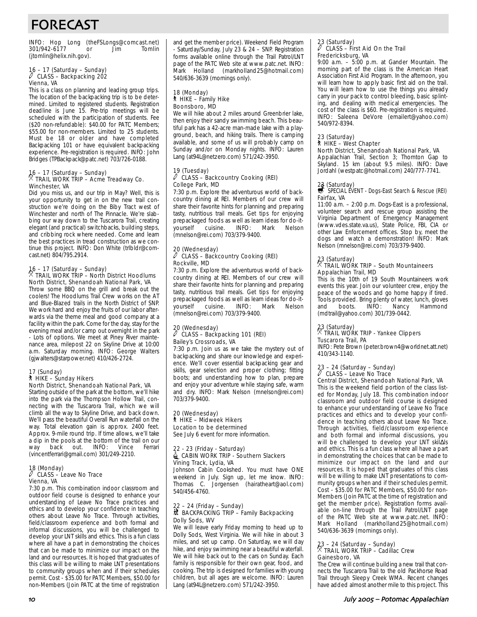# FORECAST

INFO: Hop Long (theFSLongs@comcast.net) 301/942-6177 or Jim (jtomlin@helix.nih.gov).

### 16 – 17 (Saturday – Sunday) a CLASS – Backpacking 202 Vienna, VA

This is a class on planning and leading group trips. The location of the backpacking trip is to be determined. Limited to registered students. Registration deadline is June 15. Pre-trip meetings will be scheduled with the participation of students. Fee (\$20 non-refundable): \$40.00 for PATC Members; \$55.00 for non-members. Limited to 25 students. Must be 18 or older and have completed Backpacking 101 or have equivalent backpacking experience. Pre-registration is required. INFO: John Bridges (TPBackpack@patc.net) 703/726-0188.

# 16 – 17 (Saturday – Sunday) . TRAIL WORK TRIP – Acme Treadway Co. Winchester, VA

Did you miss us, and our trip in May? Well, this is your opportunity to get in on the new trail construction we're doing on the Biby Tract west of Winchester and north of The Pinnacle. We're slabbing our way down to the Tuscarora Trail, creating elegant (and practical) switchbacks, building steps, and cribbing rock where needed. Come and learn the best practices in tread construction as we continue this project. INFO: Don White (trlbldr@comcast.net) 804/795.2914.

### 16 – 17 (Saturday – Sunday) . TRAIL WORK TRIP – North District Hoodlums North District, Shenandoah National Park, VA

Throw some BBQ on the grill and break out the coolers! The Hoodlums Trail Crew works on the AT and Blue-Blazed trails in the North District of SNP. We work hard and enjoy the fruits of our labor afterwards via the theme meal and good company at a facility within the park. Come for the day, stay for the evening meal and/or camp out overnight in the park - Lots of options. We meet at Piney River maintenance area, milepost 22 on Skyline Drive at 10:00 a.m. Saturday morning. INFO: George Walters (gjwalters@starpower.net) 410/426-2724.

#### 17 (Sunday)

#### ` HIKE – Sunday Hikers North District, Shenandoah National Park, VA

Starting outside of the park at the bottom, we'll hike into the park via the Thompson Hollow Trail, connecting with the Tuscarora Trail, which we will climb all the way to Skyline Drive, and back down. We'll pass the beautiful Overall Run waterfall on the way. Total elevation gain is approx. 2400 feet. Approx. 9-mile round trip. If time allows, we'll take a dip in the pools at the bottom of the trail on our<br>way back out. INFO: Vince Ferrari way back out. INFO: Vince Ferrari (vincentferrari@gmail.com) 301/249-2210.

# 18 (Monday) a CLASS – Leave No Trace Vienna, VA

7:30 p.m. This combination indoor classroom and outdoor field course is designed to enhance your understanding of Leave No Trace practices and ethics and to develop your confidence in teaching others about Leave No Trace. Through activities, field/classroom experience and both formal and informal discussions, you will be challenged to develop your LNT skills and ethics. This is a fun class where all have a part in demonstrating the choices that can be made to minimize our impact on the land and our resources. It is hoped that graduates of this class will be willing to make LNT presentations to community groups when and if their schedules permit. Cost - \$35.00 for PATC Members, \$50.00 for non-Members (Join PATC at the time of registration and get the member price). Weekend Field Program - Saturday/Sunday, July 23 & 24 – SNP. Registration forms available online through the Trail Patrol/LNT page of the PATC Web site at www.patc.net. INFO: Mark Holland (markholland25@hotmail.com) 540/636-3639 (mornings only).

#### 18 (Monday) ` HIKE – Family Hike Boonsboro, MD

We will hike about 2 miles around Greenbrier lake. then enjoy their sandy swimming beach. This beautiful park has a 42-acre man-made lake with a playground, beach, and hiking trails. There is camping available, and some of us will probably camp on Sunday and/or on Monday nights. INFO: Lauren Lang (at94L@netzero.com) 571/242-3950.

#### 19 (Tuesday)  $\ell$  CLASS – Backcountry Cooking (REI) College Park, MD

7:30 p.m. Explore the adventurous world of backcountry dining at REI. Members of our crew will share their favorite hints for planning and preparing tasty, nutritious trail meals. Get tips for enjoying prepackaged foods as well as learn ideas for do-ityourself cuisine. INFO: Mark Nelson (mnelson@rei.com) 703/379-9400.

#### 20 (Wednesday)<br> $\sqrt[3]{}$  CLASS – Pack a CLASS – Backcountry Cooking (REI) Rockville, MD

7:30 p.m. Explore the adventurous world of backcountry dining at REI. Members of our crew will share their favorite hints for planning and preparing tasty, nutritious trail meals. Get tips for enjoying prepackaged foods as well as learn ideas for do-ityourself cuisine. INFO: Mark Nelson (mnelson@rei.com) 703/379-9400.

# 20 (Wednesday) a CLASS – Backpacking 101 (REI) Bailey's Crossroads, VA

7:30 p.m. Join us as we take the mystery out of backpacking and share our knowledge and experience. We'll cover essential backpacking gear and skills, gear selection and proper clothing; fitting boots; and understanding how to plan, prepare and enjoy your adventure while staying safe, warm and dry. INFO: Mark Nelson (mnelson@rei.com) 703/379-9400.

#### 20 (Wednesday) ` HIKE – Midweek Hikers Location to be determined See July 6 event for more information.

#### 22 - 23 (Friday - Saturday)  $\stackrel{\mathbb{I}}{=}$  CABIN WORK TRIP - Southern Slackers Vining Track, Lydia, VA

Johnson Cabin Cookshed. You must have ONE weekend in July. Sign up, let me know. INFO: Thomas C. Jorgensen (hairatheart@aol.com) 540/456-4760.

#### 22 – 24 (Friday – Sunday) ~ BACKPACKING TRIP – Family Backpacking Dolly Sods, WV

We will leave early Friday morning to head up to Dolly Sods, West Virginia. We will hike in about 3 miles, and set up camp. On Saturday, we will day hike, and enjoy swimming near a beautiful waterfall. We will hike back out to the cars on Sunday. Each family is responsible for their own gear, food, and cooking. The trip is designed for families with young children, but all ages are welcome. INFO: Lauren Lang (at94L@netzero.com) 571/242-3950.

# 23 (Saturday) a CLASS – First Aid On the Trail Fredericksburg, VA

9:00 a.m. – 5:00 p.m. at Gander Mountain. The morning part of the class is the American Heart Association First Aid Program. In the afternoon, you will learn how to apply basic first aid on the trail. You will learn how to use the things you already carry in your pack to control bleeding, basic splinting, and dealing with medical emergencies. The cost of the class is \$60. Pre-registration is required. INFO: Saleena DeVore (emailert@yahoo.com) 540/972-8394.

#### 23 (Saturday) ` HIKE – West Chapter North District, Shenandoah National Park, VA

Appalachian Trail, Section 3; Thornton Gap to Skyland. 15 km (about 9.5 miles). INFO: Dave Jordahl (westpatc@hotmail.com) 240/777-7741.

# 23 (Saturday)<br>
s SPECIAL EVENT - Dogs-East Search & Rescue (REI) Fairfax, VA

11:00 a.m. – 2:00 p.m. Dogs-East is a professional, volunteer search and rescue group assisting the Virginia Department of Emergency Management (www.vdes.state.va.us), State Police, FBI, CIA or other Law Enforcement offices. Stop by, meet the dogs and watch a demonstration! INFO: Mark Nelson (mnelson@rei.com) 703/379-9400.

### 23 (Saturday) . TRAIL WORK TRIP – South Mountaineers Appalachian Trail, MD

This is the 10th of 19 South Mountaineers work events this year. Join our volunteer crew, enjoy the peace of the woods and go home happy if tired. Tools provided. Bring plenty of water, lunch, gloves and boots. INFO: Nancy Hammond (mdtrail@yahoo.com) 301/739-0442.

### 23 (Saturday) . TRAIL WORK TRIP - Yankee Clippers Tuscarora Trail, PA

INFO: Pete Brown (peter.brown4@worldnet.att.net) 410/343-1140.

#### $23 - 24$  (Saturday – Sunday) CLASS – Leave No Trace Central District, Shenandoah National Park, VA

This is the weekend field portion of the class listed for Monday, July 18. This combination indoor classroom and outdoor field course is designed to enhance your understanding of Leave No Trace practices and ethics and to develop your confidence in teaching others about Leave No Trace. Through activities, field/classroom experience and both formal and informal discussions, you will be challenged to develop your LNT skil∆ls and ethics. This is a fun class where all have a part in demonstrating the choices that can be made to minimize our impact on the land and our resources. It is hoped that graduates of this class will be willing to make LNT presentations to community groups when and if their schedules permit. Cost - \$35.00 for PATC Members, \$50.00 for non-Members (Join PATC at the time of registration and get the member price). Registration forms available on-line through the Trail Patrol/LNT page of the PATC Web site at www.patc.net. INFO: Mark Holland (markholland25@hotmail.com) 540/636-3639 (mornings only).

### 23 – 24 (Saturday – Sunday) . TRAIL WORK TRIP – Cadillac Crew Gainesboro, VA

The Crew will continue building a new trail that connects the Tuscarora Trail to the old Packhorse Road Trail through Sleepy Creek WMA. Recent changes have added almost another mile to this project. This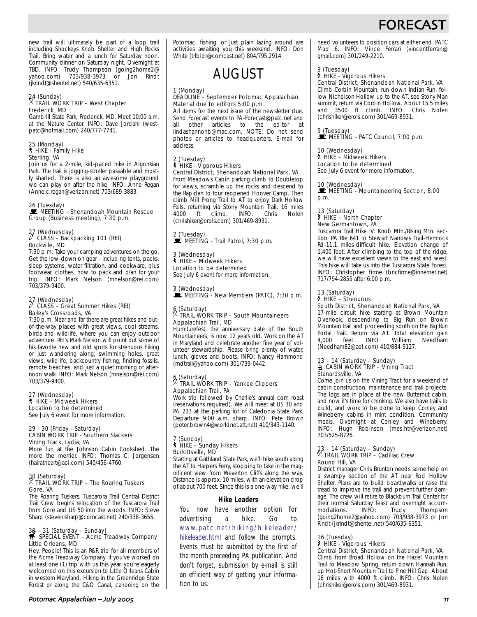# **FORFCAS**

new trail will ultimately be part of a loop trail including Shockeys Knob Shelter and High Rocks Trail. Bring water and a lunch for Saturday noon. Community dinner on Saturday night. Overnight at TBD. INFO: Trudy Thompson (going2home2@ yahoo.com) 703/938-3973 or Jon Rindt (jkrindt@shentel.net) 540/635-6351.

### 24 (Sunday) . TRAIL WORK TRIP – West Chapter Frederick, MD

Gambrill State Park; Frederick, MD. Meet 10:00 a.m. at the Nature Center. INFO: Dave Jordahl (westpatc@hotmail.com) 240/777-7741.

#### 25 (Monday) ` HIKE - Family Hike Sterling, VA

Join us for a 2-mile, kid-paced hike in Algonkian Park. The trail is jogging-stroller passable and mostly shaded. There is also an awesome playground we can play on after the hike. INFO: Anne Regan (Anne.c.regan@verizon.net) 703/689-3883.

#### 26 (Tuesday)

MEETING - Shenandoah Mountain Rescue Group (Business meeting), 7:30 p.m.

### 27 (Wednesday) a CLASS – Backpacking 101 (REI) Rockville, MD

7:30 p.m. Take your camping adventures on the go. Get the low-down on gear - including tents, packs, sleep systems, water filtration, and cookware, plus footwear, clothes, how to pack and plan for your trip. INFO: Mark Nelson (mnelson@rei.com) 703/379-9400.

# 27 (Wednesday) a CLASS – Great Summer Hikes (REI) Bailey's Crossroads, VA

7:30 p.m. Near and far there are great hikes and outof-the-way places with great views, cool streams, birds and wildlife, where you can enjoy outdoor adventure. REI's Mark Nelson will point out some of his favorite new and old spots for strenuous hiking or just wandering along; swimming holes, great views, wildlife, backcountry fishing, finding fossils, remote beaches, and just a quiet morning or afternoon walk. INFO: Mark Nelson (mnelson@rei.com) 703/379-9400.

#### 27 (Wednesday) ` HIKE – Midweek Hikers Location to be determined See July 6 event for more information.

#### 29 - 30 (Friday - Saturday) CABIN WORK TRIP - Southern Slackers Vining Track, Lydia, VA

More fun at the Johnson Cabin Cookshed. The more the merrier. INFO: Thomas C. Jorgensen (hairatheart@aol.com) 540/456-4760.

### 30 (Saturday) . TRAIL WORK TRIP – The Roaring Tuskers Gore, VA

The Roaring Tuskers, Tuscarora Trail Central District Trail Crew begins relocation of the Tuscarora Trail from Gore and US 50 into the woods. INFO: Steve Sharp (stevenlsharp@comcast.net) 240/338-3655.

# 30 – 31 (Saturday – Sunday)<br>
S SPECIAL EVENT – Acme Treadway Company Little Orleans, MD

Hey, People! This is an R&R trip for all members of the Acme Treadway Company. If you've worked on at least one (1) trip with us this year, you're eagerly welcomed on this excursion to Little Orleans Cabin in western Maryland. Hiking in the Greenridge State Forest or along the C&O Canal, canoeing on the Potomac, fishing, or just plain lazing around are activities awaiting you this weekend. INFO: Don White (trlbldr@comcast.net) 804/795.2914.



#### 1 (Monday)

#### DEADLINE – September Potomac Appalachian Material due to editors 5:00 p.m.

All items for the next issue of the newsletter due. Send Forecast events to PA-Forecast@patc.net and<br>all other articles to the editor at all other articles to the editor at lindashannonb@mac.com. NOTE: Do not send photos or articles to headquarters. E-mail for address.

## 2 (Tuesday) ` HIKE - Vigorous Hikers Central District, Shenandoah National Park, VA

From Meadows Cabin parking climb to Doubletop for views, scramble up the rocks and descend to the Rapidan to tour reopened Hoover Camp. Then climb Mill Prong Trail to AT to enjoy Dark Hollow Falls, returning via Stony Mountain Trail. 16 miles<br>4000 ft climb. INFO: Chris Nolen  $\check{\phantom{\phi}}$  climb. (chrishiker@erols.com) 301/469-8931.

#### 2 (Tuesday)  $\mathbf{\dot{F}}$  MEETING - Trail Patrol, 7:30 p.m.

3 (Wednesday) ` HIKE – Midweek Hikers Location to be determined See July 6 event for more information.

3 (Wednesday) MEETING - New Members (PATC), 7:30 p.m.

### 6 (Saturday) . TRAIL WORK TRIP – South Mountaineers Appalachian Trail, MD

Humiturefest, the anniversary date of the South Mountaineers, is now 12 years old. Work on the AT in Maryland and celebrate another fine year of volunteer stewardship. Please bring plenty of water, lunch, gloves and boots. INFO: Nancy Hammond (mdtrail@yahoo.com) 301/739-0442.

### 6 (Saturday) . TRAIL WORK TRIP – Yankee Clippers Appalachian Trail, PA

Work trip followed by Charlie's annual corn roast (reservations required). We will meet at US 30 and PA 233 at the parking lot of Caledonia State Park. Departure 9:00 a.m. sharp. INFO: Pete Brown (peter.brown4@worldnet.att.net) 410/343-1140.

#### 7 (Sunday) ` HIKE – Sunday Hikers Burkittsville, MD

Starting at Gathland State Park, we'll hike south along the AT to Harpers Ferry, stopping to take in the magnificent view from Weverton Cliffs along the way. Distance is approx. 10 miles, with an elevation drop of about 700 feet. Since this is a one-way hike, we'll

#### **Hike Leaders**

You now have another option for advertising a hike. Go to www.patc.net/hiking/hikeleader/

hikeleader.html and follow the prompts.

Events must be submitted by the first of the month preceeding *PA* publication. And don't forget, submission by e-mail is still an efficient way of getting your information to us.

need volunteers to position cars at either end. PATC Map 6. INFO: Vince Ferrari (vincentferrari@ gmail.com) 301/249-2210.

#### 9 (Tuesday) ` HIKE - Vigorous Hikers

Central District, Shenandoah National Park, VA Climb Corbin Mountain, run down Indian Run, follow Nicholson Hollow up to the AT, see Stony Man summit, return via Corbin Hollow. About 15.5 miles and 3500 ft climb. INFO: Chris Nolen (chrishiker@erols.com) 301/469-8931.

9 (Tuesday)<br>■ MEETING - PATC Council, 7:00 p.m.

10 (Wednesday) ` HIKE – Midweek Hikers Location to be determined See July 6 event for more information.

#### 10 (Wednesday)

MEETING - Mountaineering Section, 8:00 p.m.

#### 13 (Saturday) ` HIKE – North Chapter New Germantown, PA

Tuscarora Trail Hike IV: Knob Mtn./Rising Mtn. section: PA Rte 641 to Stewart Narrows Trail-Hemlock Rd-11.1 miles-difficult hike. Elevation change of 1,400 feet. After climbing to the top of the ridge, we will have excellent views to the east and west. This hike will take us into the Tuscarora State Forest. INFO: Christopher Firme (bncfirme@innernet.net) 717/794-2855 after 6:00 p.m.

#### 13 (Saturday) ` HIKE – Strenuous South District, Shenandoah National Park, VA

17-mile circuit hike starting at Brown Mountain Overlook, descending to Big Run on Brown Mountain trail and proceeding south on the Big Run Portal Trail. Return via AT. Total elevation gain<br>4.000 feet. INFO: William Needham  $I$ NFO: (Needham82@aol.com) 410/884-9127.

# 13 – 14 (Saturday – Sunday)<br>LacaBIN WORK TRIP – Vining Tract Stanardsville, VA

Come join us on the Vining Tract for a weekend of cabin construction, maintenance and trail projects. The logs are in place at the new Butternut cabin, and now it's time for chinking. We also have trails to build, and work to be done to keep Conley and Wineberry cabins in mint condition. Community meals. Overnight at Conley and Wineberry. INFO: Hugh Robinson (mes.htr@verizon.net) 703/525-8726.

### 13 – 14 (Saturday – Sunday) . TRAIL WORK TRIP – Cadillac Crew Round Hill, VA

District manager Chris Brunton needs some help on a swampy section of the AT near Rod Hollow Shelter. Plans are to build boardwalks or raise the tread to improve the trail and prevent further damage. The crew will retire to Blackburn Trail Center for their normal Saturday feast and overnight accom-<br>modations. INFO: Trudy Thompson modations. INFO: Trudy Thompson (going2home2@yahoo.com) 703/938-3973 or Jon Rindt (jkrindt@shentel.net) 540/635-6351.

### 16 (Tuesday)

# ` HIKE - Vigorous Hikers

Central District, Shenandoah National Park, VA Climb from Broad Hollow on the Hazel Mountain Trail to Meadow Spring, return down Hannah Run, up Hot-Short Mountain Trail to Pine Hill Gap. About 18 miles with 4000 ft climb. INFO: Chris Nolen (chrishiker@erols.com) 301/469-8931.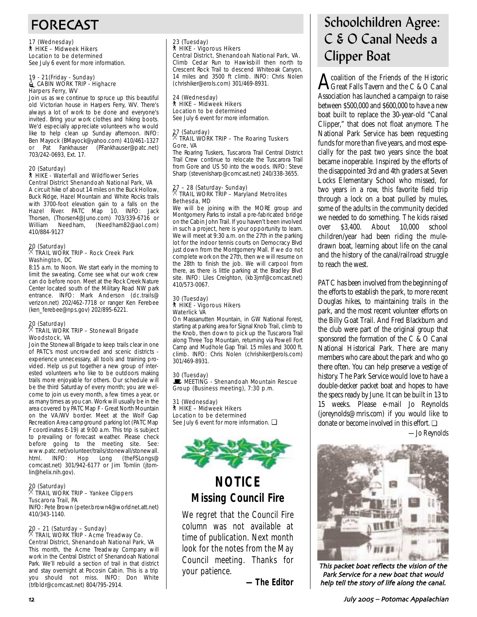# FORECAST

17 (Wednesday) ` HIKE – Midweek Hikers Location to be determined See July 6 event for more information.

#### 19 - 21(Friday - Sunday) **EXAGIN WORK TRIP - Highacre** Harpers Ferry, WV

Join us as we continue to spruce up this beautiful old Victorian house in Harpers Ferry, WV. There's always a lot of work to be done and everyone's invited. Bring your work clothes and hiking boots. We'd especially appreciate volunteers who would like to help clean up Sunday afternoon. INFO: Ben Mayock (BMayock@yahoo.com) 410/461-1327 or Pat Fankhauser (PFankhauser@patc.net) 703/242-0693, Ext. 17.

#### 20 (Saturday) ` HIKE - Waterfall and Wildflower Series Central District Shenandoah National Park, VA

A circuit hike of about 14 miles on the Buck Hollow, Buck Ridge, Hazel Mountain and White Rocks trails with 3700-foot elevation gain to a falls on the Hazel River. PATC Map 10. INFO: Jack Thorsen, (Thorsen4@Juno.com) 703/339-6716 or William Needham, (Needham82@aol.com) 410/884-9127

# 20 (Saturday) . TRAIL WORK TRIP – Rock Creek Park Washington, DC

8:15 a.m. to Noon. We start early in the morning to limit the sweating. Come see what our work crew can do before noon. Meet at the Rock Creek Nature Center located south of the Military Road NW park entrance. INFO: Mark Anderson (dc.trails@ verizon.net) 202/462-7718 or ranger Ken Ferebee (ken\_ferebee@nps.gov) 202/895-6221.

# 20 (Saturday) . TRAIL WORK TRIP – Stonewall Brigade Woodstock, VA

Join the Stonewall Brigade to keep trails clear in one of PATC's most uncrowded and scenic districts experience unnecessary, all tools and training provided. Help us put together a new group of interested volunteers who like to be outdoors making trails more enjoyable for others. Our schedule will be the third Saturday of every month; you are welcome to join us every month, a few times a year, or as many times as you can. Work will usually be in the area covered by PATC Map F - Great North Mountain on the VA/WV border. Meet at the Wolf Gap Recreation Area campground parking lot (PATC Map F coordinates E-19) at 9:00 a.m. This trip is subject to prevailing or forecast weather. Please check before going to the meeting site. See: www.patc.net/volunteer/trails/stonewall/stonewall. html. INFO: Hop Long (theFSLongs@ comcast.net) 301/942-6177 or Jim Tomlin (jtomlin@helix.nih.gov).

### 20 (Saturday) . TRAIL WORK TRIP – Yankee Clippers Tuscarora Trail, PA

INFO: Pete Brown (peter.brown4@worldnet.att.net) 410/343-1140.

# 20 – 21 (Saturday – Sunday) . TRAIL WORK TRIP - Acme Treadway Co. Central District, Shenandoah National Park, VA

This month, the Acme Treadway Company will work in the Central District of Shenandoah National Park. We'll rebuild a section of trail in that district and stay overnight at Pocosin Cabin. This is a trip you should not miss. INFO: Don White (trlbldr@comcast.net) 804/795-2914.

# 23 (Tuesday) ` HIKE - Vigorous Hikers Central District, Shenandoah National Park, VA.

Climb Cedar Run to Hawksbill then north to Crescent Rock Trail to descend Whiteoak Canyon. 14 miles and 3500 ft climb. INFO: Chris Nolen (chrishiker@erols.com) 301/469-8931.

#### 24 (Wednesday) ` HIKE – Midweek Hikers Location to be determined

See July 6 event for more information.

### 27 (Saturday) . TRAIL WORK TRIP – The Roaring Tuskers Gore, VA

The Roaring Tuskers, Tuscarora Trail Central District Trail Crew continue to relocate the Tuscarora Trail from Gore and US 50 into the woods. INFO: Steve Sharp (stevenlsharp@comcast.net) 240/338-3655.

# 27 – 28 (Saturday- Sunday) . TRAIL WORK TRIP – Maryland Metrolites Bethesda, MD

We will be joining with the MORE group and Montgomery Parks to install a pre-fabricated bridge on the Cabin John Trail. If you haven't been involved in such a project, here is your opportunity to learn. We will meet at 9:30 a.m. on the 27th in the parking lot for the indoor tennis courts on Democracy Blvd just down from the Montgomery Mall. If we do not complete work on the 27th, then we will resume on the 28th to finish the job. We will carpool from there, as there is little parking at the Bradley Blvd site. INFO: Liles Creighton, (kb3jmf@comcast.net) 410/573-0067.

#### 30 (Tuesday) ` HIKE - Vigorous Hikers Waterlick VA

On Massanutten Mountain, in GW National Forest, starting at parking area for Signal Knob Trail, climb to the Knob, then down to pick up the Tuscarora Trail along Three Top Mountain, returning via Powell Fort Camp and Mudhole Gap Trail. 15 miles and 3000 ft. climb. INFO: Chris Nolen (chrishiker@erols.com) 301/469-8931.

30 (Tuesday) **WEETING - Shenandoah Mountain Rescue** Group (Business meeting), 7:30 p.m.

31 (Wednesday) ` HIKE – Midweek Hikers Location to be determined See July 6 event for more information. □



# **NOTICE Missing Council Fire**

We regret that the Council Fire column was not available at time of publication. Next month look for the notes from the May Council meeting. Thanks for your patience.

*—The Editor*

# Schoolchildren Agree: C & O Canal Needs a Clipper Boat

 $\mathbf{A}$  coalition of the Friends of the Historic<br>Great Falls Tayern and the C & O Canal Great Falls Tavern and the C & O Canal Association has launched a campaign to raise between \$500,000 and \$600,000 to have a new boat built to replace the 30-year-old "Canal Clipper," that does not float anymore. The National Park Service has been requesting funds for more than five years, and most especially for the past two years since the boat became inoperable. Inspired by the efforts of the disappointed 3rd and 4th graders at Seven Locks Elementary School who missed, for two years in a row, this favorite field trip through a lock on a boat pulled by mules, some of the adults in the community decided we needed to do something. The kids raised over \$3,400. About 10,000 school children/year had been riding the muledrawn boat, learning about life on the canal and the history of the canal/railroad struggle to reach the west.

PATC has been involved from the beginning of the efforts to establish the park, to more recent Douglas hikes, to maintaining trails in the park, and the most recent volunteer efforts on the Billy Goat Trail. And Fred Blackburn and the club were part of the original group that sponsored the formation of the C & O Canal National Historical Park. There are many members who care about the park and who go there often. You can help preserve a vestige of history. The Park Service would love to have a double-decker packet boat and hopes to have the specs ready by June. It can be built in 13 to 15 weeks. Please e-mail Jo Reynolds (joreynolds@mris.com) if you would like to donate or become involved in this effort. ❏

*—Jo Reynolds*



This packet boat reflects the vision of the Park Service for a new boat that would help tell the story of life along the canal.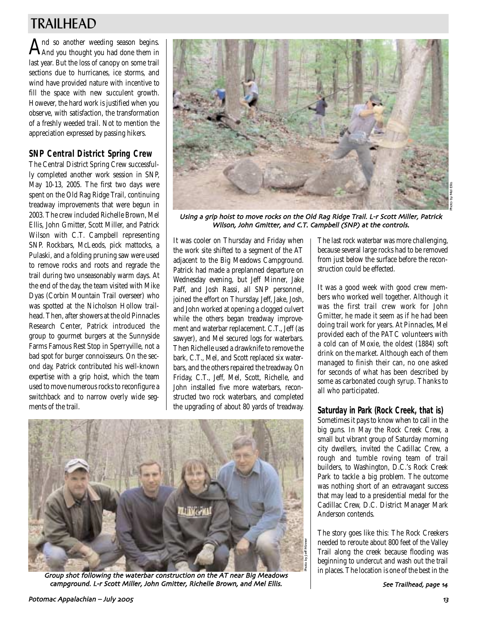# TRAILHEAD

 $A$ nd so another weeding season begins.<br>AAnd you thought you had done them in last year. But the loss of canopy on some trail sections due to hurricanes, ice storms, and wind have provided nature with incentive to fill the space with new succulent growth. However, the hard work is justified when you observe, with satisfaction, the transformation of a freshly weeded trail. Not to mention the appreciation expressed by passing hikers.

# **SNP Central District Spring Crew**

The Central District Spring Crew successfully completed another work session in SNP, May 10-13, 2005. The first two days were spent on the Old Rag Ridge Trail, continuing treadway improvements that were begun in 2003. The crew included Richelle Brown, Mel Ellis, John Gmitter, Scott Miller, and Patrick Wilson with C.T. Campbell representing SNP. Rockbars, McLeods, pick mattocks, a Pulaski, and a folding pruning saw were used to remove rocks and roots and regrade the trail during two unseasonably warm days. At the end of the day, the team visited with Mike Dyas (Corbin Mountain Trail overseer) who was spotted at the Nicholson Hollow trailhead. Then, after showers at the old Pinnacles Research Center, Patrick introduced the group to gourmet burgers at the Sunnyside Farms Famous Rest Stop in Sperryville, not a bad spot for burger connoisseurs. On the second day, Patrick contributed his well-known expertise with a grip hoist, which the team used to move numerous rocks to reconfigure a switchback and to narrow overly wide segments of the trail.



Using a grip hoist to move rocks on the Old Rag Ridge Trail. L-r Scott Miller, Patrick Wilson, John Gmitter, and C.T. Campbell (SNP) at the controls.

It was cooler on Thursday and Friday when the work site shifted to a segment of the AT adjacent to the Big Meadows Campground. Patrick had made a preplanned departure on Wednesday evening, but Jeff Minner, Jake Paff, and Josh Rassi, all SNP personnel, joined the effort on Thursday. Jeff, Jake, Josh, and John worked at opening a clogged culvert while the others began treadway improvement and waterbar replacement. C.T., Jeff (as sawyer), and Mel secured logs for waterbars. Then Richelle used a drawknife to remove the bark, C.T., Mel, and Scott replaced six waterbars, and the others repaired the treadway. On Friday, C.T., Jeff, Mel, Scott, Richelle, and John installed five more waterbars, reconstructed two rock waterbars, and completed the upgrading of about 80 yards of treadway.



Group shot following the waterbar construction on the AT near Big Meadows campground. L-r Scott Miller, John Gmitter, Richelle Brown, and Mel Ellis.

The last rock waterbar was more challenging, because several large rocks had to be removed from just below the surface before the reconstruction could be effected.

It was a good week with good crew members who worked well together. Although it was the first trail crew work for John Gmitter, he made it seem as if he had been doing trail work for years. At Pinnacles, Mel provided each of the PATC volunteers with a cold can of Moxie, the oldest (1884) soft drink on the market. Although each of them managed to finish their can, no one asked for seconds of what has been described by some as carbonated cough syrup. Thanks to all who participated.

### **Saturday in Park (Rock Creek, that is)**

Sometimes it pays to know when to call in the big guns. In May the Rock Creek Crew, a small but vibrant group of Saturday morning city dwellers, invited the Cadillac Crew, a rough and tumble roving team of trail builders, to Washington, D.C.'s Rock Creek Park to tackle a big problem. The outcome was nothing short of an extravagant success that may lead to a presidential medal for the Cadillac Crew, D.C. District Manager Mark Anderson contends.

The story goes like this: The Rock Creekers needed to reroute about 800 feet of the Valley Trail along the creek because flooding was beginning to undercut and wash out the trail in places. The location is one of the best in the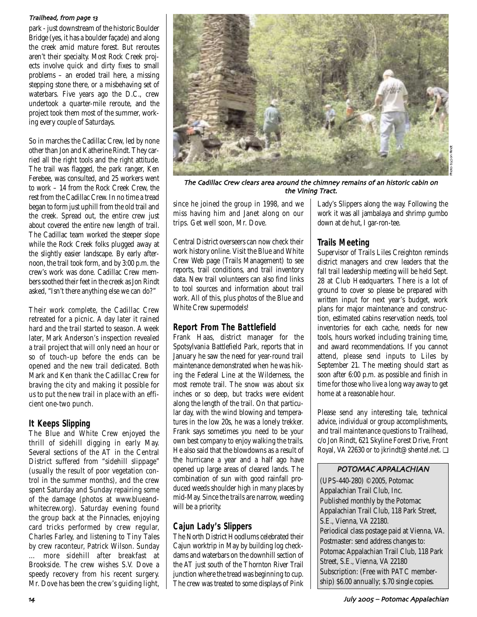#### Trailhead, from page 13

park - just downstream of the historic Boulder Bridge (yes, it has a boulder façade) and along the creek amid mature forest. But reroutes aren't their specialty. Most Rock Creek projects involve quick and dirty fixes to small problems – an eroded trail here, a missing stepping stone there, or a misbehaving set of waterbars. Five years ago the D.C., crew undertook a quarter-mile reroute, and the project took them most of the summer, working every couple of Saturdays.

So in marches the Cadillac Crew, led by none other than Jon and Katherine Rindt. They carried all the right tools and the right attitude. The trail was flagged, the park ranger, Ken Ferebee, was consulted, and 25 workers went to work – 14 from the Rock Creek Crew, the rest from the Cadillac Crew. In no time a tread began to form just uphill from the old trail and the creek. Spread out, the entire crew just about covered the entire new length of trail. The Cadillac team worked the steeper slope while the Rock Creek folks plugged away at the slightly easier landscape. By early afternoon, the trail took form, and by 3:00 p.m. the crew's work was done. Cadillac Crew members soothed their feet in the creek as Jon Rindt asked, "Isn't there anything else we can do?"

Their work complete, the Cadillac Crew retreated for a picnic. A day later it rained hard and the trail started to season. A week later, Mark Anderson's inspection revealed a trail project that will only need an hour or so of touch-up before the ends can be opened and the new trail dedicated. Both Mark and Ken thank the Cadillac Crew for braving the city and making it possible for us to put the new trail in place with an efficient one-two punch.

# **It Keeps Slipping**

The Blue and White Crew enjoyed the thrill of sidehill digging in early May. Several sections of the AT in the Central District suffered from "sidehill slippage" (usually the result of poor vegetation control in the summer months), and the crew spent Saturday and Sunday repairing some of the damage (photos at www.blueandwhitecrew.org). Saturday evening found the group back at the Pinnacles, enjoying card tricks performed by crew regular, Charles Farley, and listening to Tiny Tales by crew raconteur, Patrick Wilson. Sunday … more sidehill after breakfast at Brookside. The crew wishes S.V. Dove a speedy recovery from his recent surgery. Mr. Dove has been the crew's guiding light,



The Cadillac Crew clears area around the chimney remains of an historic cabin on the Vining Tract

since he joined the group in 1998, and we miss having him and Janet along on our trips. Get well soon, Mr. Dove.

Central District overseers can now check their work history online. Visit the Blue and White Crew Web page (Trails Management) to see reports, trail conditions, and trail inventory data. New trail volunteers can also find links to tool sources and information about trail work. All of this, plus photos of the Blue and White Crew supermodels!

### **Report From The Battlefield**

Frank Haas, district manager for the Spotsylvania Battlefield Park, reports that in January he saw the need for year-round trail maintenance demonstrated when he was hiking the Federal Line at the Wilderness, the most remote trail. The snow was about six inches or so deep, but tracks were evident along the length of the trail. On that particular day, with the wind blowing and temperatures in the low 20s, he was a lonely trekker. Frank says sometimes you need to be your own best company to enjoy walking the trails. He also said that the blowdowns as a result of the hurricane a year and a half ago have opened up large areas of cleared lands. The combination of sun with good rainfall produced weeds shoulder high in many places by mid-May. Since the trails are narrow, weeding will be a priority.

# **Cajun Lady's Slippers**

The North District Hoodlums celebrated their Cajun worktrip in May by building log checkdams and waterbars on the downhill section of the AT just south of the Thornton River Trail junction where the tread was beginning to cup. The crew was treated to some displays of Pink Lady's Slippers along the way. Following the work it was all jambalaya and shrimp gumbo down at de hut, I gar-ron-tee.

# **Trails Meeting**

Supervisor of Trails Liles Creighton reminds district managers and crew leaders that the fall trail leadership meeting will be held Sept. 28 at Club Headquarters. There is a lot of ground to cover so please be prepared with written input for next year's budget, work plans for major maintenance and construction, estimated cabins reservation needs, tool inventories for each cache, needs for new tools, hours worked including training time, and award recommendations. If you cannot attend, please send inputs to Liles by September 21. The meeting should start as soon after 6:00 p.m. as possible and finish in time for those who live a long way away to get home at a reasonable hour.

Please send any interesting tale, technical advice, individual or group accomplishments, and trail maintenance questions to Trailhead, c/o Jon Rindt, 621 Skyline Forest Drive, Front Royal, VA 22630 or to jkrindt@shentel.net. ❏

### POTOMAC APPALACHIAN

(UPS-440-280) ©2005, Potomac Appalachian Trail Club, Inc. Published monthly by the Potomac Appalachian Trail Club, 118 Park Street, S.E., Vienna, VA 22180. Periodical class postage paid at Vienna, VA. Postmaster: send address changes to: Potomac Appalachian Trail Club, 118 Park Street, S.E., Vienna, VA 22180 Subscription: (Free with PATC membership) \$6.00 annually; \$.70 single copies.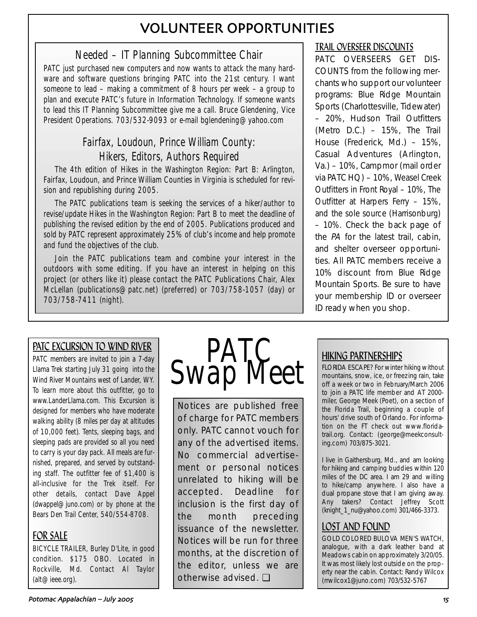# VOLUNTEER OPPORTUNITIES

# Needed – IT Planning Subcommittee Chair

PATC just purchased new computers and now wants to attack the many hardware and software questions bringing PATC into the 21st century. I want someone to lead – making a commitment of 8 hours per week – a group to plan and execute PATC's future in Information Technology. If someone wants to lead this IT Planning Subcommittee give me a call. Bruce Glendening, Vice President Operations. 703/532-9093 or e-mail bglendening@yahoo.com

# Fairfax, Loudoun, Prince William County: Hikers, Editors, Authors Required

The 4th edition of Hikes in the Washington Region: Part B: Arlington, Fairfax, Loudoun, and Prince William Counties in Virginia is scheduled for revision and republishing during 2005.

The PATC publications team is seeking the services of a hiker/author to revise/update Hikes in the Washington Region: Part B to meet the deadline of publishing the revised edition by the end of 2005. Publications produced and sold by PATC represent approximately 25% of club's income and help promote and fund the objectives of the club.

Join the PATC publications team and combine your interest in the outdoors with some editing. If you have an interest in helping on this project (or others like it) please contact the PATC Publications Chair, Alex McLellan (publications@patc.net) (preferred) or 703/758-1057 (day) or 703/758-7411 (night).

# TRAIL OVERSEER DISCOUNTS

PATC OVERSEERS GET DIS-COUNTS from the following merchants who support our volunteer programs: Blue Ridge Mountain Sports (Charlottesville, Tidewater) – 20%, Hudson Trail Outfitters (Metro D.C.) – 15%, The Trail House (Frederick, Md.) – 15%, Casual Adventures (Arlington, Va.) – 10%, Campmor (mail order via PATC HQ) – 10%, Weasel Creek Outfitters in Front Royal – 10%, The Outfitter at Harpers Ferry – 15%, and the sole source (Harrisonburg) – 10%. Check the back page of the PA for the latest trail, cabin, and shelter overseer opportunities. All PATC members receive a 10% discount from Blue Ridge Mountain Sports. Be sure to have your membership ID or overseer ID ready when you shop.

# PATC EXCURSION TO WIND RIVER

PATC members are invited to join a 7-day Llama Trek starting July 31 going into the Wind River Mountains west of Lander, WY. To learn more about this outfitter, go to www.LanderLlama.com. This Excursion is designed for members who have moderate walking ability (8 miles per day at altitudes of 10,000 feet). Tents, sleeping bags, and sleeping pads are provided so all you need to carry is your day pack. All meals are furnished, prepared, and served by outstanding staff. The outfitter fee of \$1,400 is all-inclusive for the Trek itself. For other details, contact Dave Appel (dwappel@juno.com) or by phone at the Bears Den Trail Center, 540/554-8708.

# FOR SALE

BICYCLE TRAILER, Burley D'Lite, in good condition. \$175 OBO. Located in Rockville, Md. Contact Al Taylor (alt@ieee.org).



Notices are published free of charge for PATC members only. PATC cannot vouch for any of the advertised items. No commercial advertisement or personal notices unrelated to hiking will be accepted. Deadline for inclusion is the first day of the month preceding issuance of the newsletter. Notices will be run for three months, at the discretion of the editor, unless we are otherwise advised. ❏

# HIKING PARTNERSHIPS

FLORIDA ESCAPE? For winter hiking without mountains, snow, ice, or freezing rain, take off a week or two in February/March 2006 to join a PATC life member and AT 2000 miler, George Meek (Poet), on a section of the Florida Trail, beginning a couple of hours' drive south of Orlando. For information on the FT check out www.floridatrail.org. Contact: (george@meekconsulting.com) 703/875-3021.

I live in Gaithersburg, Md., and am looking for hiking and camping buddies within 120 miles of the DC area. I am 29 and willing to hike/camp anywhere. I also have a dual propane stove that I am giving away. Any takers? Contact Jeffrey Scott (knight\_1\_nu@yahoo.com) 301/466-3373.

# LOST AND FOUND

GOLD COLORED BULOVA MEN'S WATCH, analogue, with a dark leather band at Meadows cabin on approximately 3/20/05. It was most likely lost outside on the property near the cabin. Contact: Randy Wilcox (rrwilcox1@juno.com) 703/532-5767